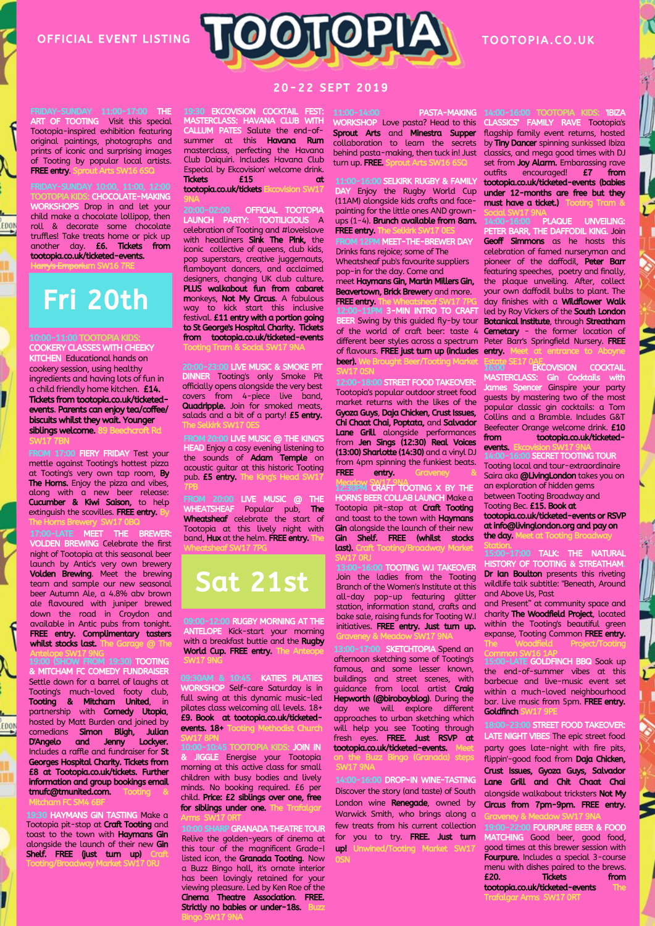OFFICIAL EVENT LISTING

FRIDAY-SUNDAY 11:00-17:00 THE ART OF TOOTING Visit this special Tootopia-inspired exhibition featuring original paintings, photographs and prints of iconic and surprising images of Tooting by popular local artists.

WORKSHOPS Drop in and let your child make a chocolate lollipop, then roll & decorate some chocolate truffles! Take treats home or pick up another day. £6. Tickets from tootopia.co.uk/ticketed-events. H<del>arry's Emporiu</del>m SW16 7RE

: CHOCOLATE-MAKING

**FREE entry.** 

EDON



## TOOTOPIA.CO.UK

20 - 22 SEPT 2019

19:30 EKCOVISION COCKTAIL FEST: MASTERCLASS: HAVANA CLUB WITH CALLUM PATES Salute the end-ofsummer at this **Havana Rum** masterclass, perfecting the Havana Club Daiquiri. Includes Havana Club Especial by Ekcovision' welcome drink.<br> **Tickets E15** at Tickets £15 at tootopia.co.uk/tickets Ekcovision SW17

20:00-02:00 OFFICIAL TOOTOPIA LAUNCH PARTY celebration of Tooting and #loveislove with headliners **Sink The Pink**, the iconic collective of queens, club kids, pop superstars, creative juggernauts, flamboyant dancers, and acclaimed designers, changing UK club culture. PLUS walkabout fun from cabaret monkeys, Not My Circus. A fabulous way to kick start this inclusive festival. **£11 entry with a portion going** to St George's Hospital Charity. Tickets from tootopia.co.uk/ticketed-events Tooting Tram & Social SW17 9NA

20:00-23:00 LIVE MUSIC & SMOKE PIT DINNER Tooting's only Smoke Pit officially opens alongside the very best covers from 4-piece live band, Quadripple. Join for smoked meats, salads and a bit of a party! **£5 entry.** The Selkirk SW17 0ES

**M 20:00 LIVE MUSIC @ THE KING'S** HEAD Enjoy a cosy evening listening to the sounds of Adam Temple on acoustic guitar at this historic Tooting pub. £5 entry. 7PB

FROM 20:00 LIVE MUSIC @ THE WHEATSHEAF Popular pub, The Wheatsheaf celebrate the start of Tootopia at this lively night with band. Hux at the helm. FREE entry. Wheatsheaf SW17 7PG

## Sat 21st

09:00-12:00 RUGBY MORNING AT THE ANTELOPE Kick-start your morning with a breakfast buttie and the Rugby World Cup. FREE entry. The SW17 9NG

09:30AM & 10:45 KATIES PILATIES WORKSHOP Self-care Saturday is in full swing at this dynamic music-led pilates class welcoming all levels. 18+ £9. Book at tootopia.co.uk/ticketedevents.  $18+T$ SW17 8PN

10:00-10:45 TOOTOPIA KIDS: JOIN IN & JIGGLE Energise your Tootopia morning at this active class for small children with busy bodies and lively minds. No booking required. £6 per child. Price: £2 siblings over one, free for siblings under one.

SHARP GRANADA THEATRE TOUR Relive the golden-years of cinema at this tour of the magnificent Grade-I listed icon, the Granada Tooting. Now a Buzz Bingo hall, it's ornate interior has been lovingly retained for your viewing pleasure. Led by Ken Roe of the Cinema Theatre Association. FREE. Strictly no babies or under-18s. Arms SW17 0RT

Bingo SW17 9NA

11:00-14:00 PASTA-MAKING WORKSHOP Love pasta? Head to this Sprout Arts and Minestra Supper collaboration to learn the secrets behind pasta-making, then tuck in! Just classics, and mega good times with DJ turn up. FREE. Sprou

16:00 SELKIRK RUGBY & FAMILY Enjoy the Rugby World Cup (11AM) alongside kids crafts and facepainting for the little ones AND grownups (1-4). Brunch available from 8am. FREE entry.

MEET-THE-BREWER DAY Drinks fans rejoice; some of The Wheatsheaf pub's favourite suppliers pop-in for the day. Come and meet Haymans Gin, Martin Millers Gin, Beavertown, Brick Brewery and more. FREE entry.

12:00-11PM 3-MIN INTRO TO CRAFT Swing by this guided fly-by tour of the world of craft beer: taste 4 different beer styles across a spectrum Peter Barr's Springfield Nursery. FREE of flavours. **FREE just turn up (includes entry.** Meet at entrance to Aboyne beer). SW17 0SN

**EET FOOD TAKE** Tootopia's popular outdoor street food market returns with the likes of the Gyoza Guys, Daja Chicken, Crust Issues, Chi Chaat Chai, Poptata, and Salvador Lane Grill alongside performances from Jen Sings (12:30) Real Voices (13:00) Sharlotte (14:30) and a vinyl DJ from 4pm spinning the funkiest beats.<br>
FREE entry. Crayeney entry.

**12:30PM CRAFT TOOTING X BY THE** HORNS BEER COLLAB LAUNCH Make a Tootopia pit-stop at **Craft Tooting** and toast to the town with Haymans Gin alongside the launch of their new Gin Shelf. FREE (whilst stocks last). Craft Tooting/Broadway Market

SW17 0RJ 16:00 TOOTING W.I TAKEOVER Join the ladies from the Tooting Branch of the Women's Institute at this all-day pop-up featuring glitter station, information stand, crafts and bake sale, raising funds for Tooting W.I initiatives. FREE entry. Just turn up. Graveney & Meadow SW17 9NA

13:00-17:00 SKETCHTOPIA Spend an afternoon sketching some of Tooting's famous, and some lesser known, buildings and street scenes, with quidance from local artist **Craig** Hepworth (@biroboyblog). During the day we will explore different approaches to urban sketching which will help you see Tooting through fresh eyes. FREE. Just RSVP at tootopia.co.uk/ticketed-events.

on the Buzz Bingo (Granada) steps SW17 9NA

14:00-16:00 DROP-IN WINE-TASTING Discover the story (and taste) of South London wine **Renegade**, owned by Warwick Smith, who brings along a few treats from his current collection for you to try. FREE. Just turn up! Unwined/Tooting Mark

14:00-16:00 TOOTOPIA KIDS: 'IBIZA CLASSICS'' FAMILY RAVE Tootopia's flagship family event returns, hosted by Tiny Dancer spinning sunkissed Ibiza set from **Joy Alarm.** Embarassing rave<br>outfits encouraged! **£7 from** outfits encouraged!  $E7$ tootopia.co.uk/ticketed-events (babies under 12-months are free but they

must have a ticket.)

PLAQUE UNVEILING: PETER BARR, THE DAFFODIL KING. Join Geoff Simmons as he hosts this celebration of famed nurseryman and pioneer of the daffodil, Peter Barr featuring speeches, poetry and finally, the plaque unveiling. After, collect your own daffodil bulbs to plant. The day finishes with a **Wildflower Walk** led by Roy Vickers of the **South London** Botanical Institute, through Streatham Cemetary - the former location of

16:00 **EKCOVISION COCKTAIL** MASTERCLASS: Gin Cocktails with James Spencer Ginspire your party guests by mastering two of the most popular classic gin cocktails: a Tom Collins and a Bramble. Includes G&T Beefeater Orange welcome drink. £10<br>
from tootonia.co.uk/ticketedtootopia.co.uk/ticketedevents. Estate SE17 0AE.

**D SECRET TOOTING TOUR** Tooting local and tour-extraordinaire Saira aka **@LivingLondon** takes you on an exploration of hidden gems between Tooting Broadway and Tooting Bec. £15. Book at tootopia.co.uk/ticketed-events or RSVP atinfo@livinglondon.org and pay on the day.

Station. 15:00-17:00 TALK: THE NATURAL HISTORY OF TOOTING & STREATHA Dr Ian Boulton presents this riveting wildlife talk subtitle: "Beneath, Around and Above Us, Past

and Present" at community space and charity The Woodfield Project, located within the Tooting's beautiful green expanse, Tooting Common FREE entry. The Woodfield Project/Tooting

15:00-LATE GOLDFINCH BBQ Soak up the end-of-summer vibes at this barbecue and live-music event set within a much-loved neighbourhood bar. Live music from 5pm. FREE entry. Goldfinch S Common SW16 1AP

18:00-23:00 STREET FOOD TAKEOVER: LATE NIGHT VIBES The epic street food party goes late-night with fire pits, flippin'-good food from Daja Chicken, Crust Issues, Gyoza Guys, Salvador Lane Grill and Chit Chaat Chai alongside walkabout tricksters Not My Circus from 7pm-9pm. FREE entry.

19:00-22:00 FOURPURE BEER & FOOD MATCHING Good beer, good food, good times at this brewer session with Fourpure. Includes a special 3-course menu with dishes paired to the brews. £20. Tickets from tootopia.co.uk/ticketed-events

Graveney & Meadow SW17 9NA

Trafalgar Arms SW17 0RT

Harry's Emporius<br>
Francia Corporation<br>
10:00-11:00 TC<br>
COOKERY CLAS<br>
KITCHEN Educe<br>
cookery session COOKERY CLASSES WITH CHEEKY **KITCHEN Educational hands on** cookery session, using healthy ingredients and having lots of fun in a child friendly home kitchen. £14. Tickets from tootopia.co.uk/ticketedevents. Parents can enjoy tea/coffee/ Fri 20th

FROM 17:00<br>mettle again 17:00<br>dt Tooting's<br>The Horns.<br>clong with<br>Cucumber<br>extinguish tilt<br>17:00-LATE<br>VOLDEN BRO FROM 17:00 FIERY FRIDAY Test your mettle against Tooting's hottest pizza at Tooting's very own tap room, By The Horns. Enjoy the pizza and vibes, along with a new beer release: Cucumber & Kiwi Saison, to help extinguish the scovilles. FREE entry. The Horns Brewery SW17 0BQ

biscuits whilst they wait. Younger

siblings welcome. SW17 7BN

17:00-LATE MEET THE BREWER: VOLDEN BREWING Celebrate the first night of Tootopia at this seasonal beer launch by Antic's very own brewery Volden Brewing. Meet the brewing team and sample our new seasonal beer Autumn Ale, a 4.8% abv brown ale flavoured with juniper brewed down the road in Croydon and available in Antic pubs from tonight. FREE entry. Complimentary tasters whilst stocks last.

availat<br> **FREE**<br> **whilst**<br> **Artelo**<br> **8**<br>
MITC<br>
Settle<br> **CODER**<br> **CODER**<br> **CODER**<br> **CODER**<br> **CODER**<br> **CODER**<br> **CODER**<br> **CODER** Antelope SW17 9NG 19:00 (SHOW FROM 19:30) TOOTING & MITCHAM FC COMEDY FUNDRAISER Settle down for a barrel of laughs at Tooting's much-loved footy club, **Tooting & Mitcham United, in** partnership with **Comedy Utopia**, hosted by Matt Burden and joined by comedians Simon Bligh, Julian D'Angelo and Jenny Lockyer. Includes a raffle and fundraiser for St Georges Hospital Charity. Tickets from £8 at Tootopia.co.uk/tickets. Further information and group bookings email tmufc@tmunited.com.

**PHOTAIT PC SPAN CONTRACTS**<br>Tootopia pit-stop<br>toast to the town<br>alongside the laur<br>Shelf. FREE (just<br>Tooting/Broadway **1980 HAYMANS GIN TASTING Make a** Tootopia pit-stop at Craft Tooting and toast to the town with Haymans Gin alongside the launch of their new **Gin** Shelf. FREE (just turn up) Tooting/Broadway Market SW17 0RJ

Mitcham FC SM4 6BF

EDON